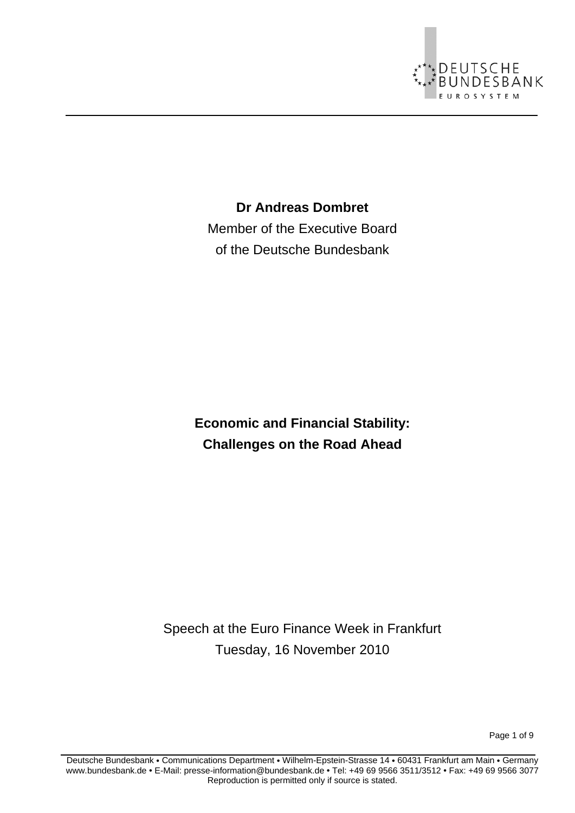

**Dr Andreas Dombret** 

Member of the Executive Board of the Deutsche Bundesbank

**Economic and Financial Stability: Challenges on the Road Ahead** 

Speech at the Euro Finance Week in Frankfurt Tuesday, 16 November 2010

Page 1 of 9

Deutsche Bundesbank • Communications Department • Wilhelm-Epstein-Strasse 14 • 60431 Frankfurt am Main • Germany www.bundesbank.de • E-Mail: presse-information@bundesbank.de • Tel: +49 69 9566 3511/3512 • Fax: +49 69 9566 3077 Reproduction is permitted only if source is stated.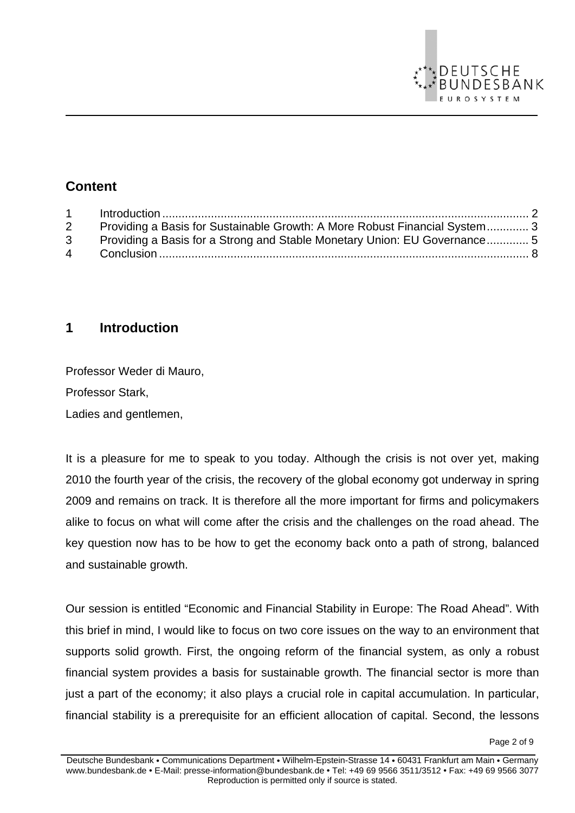

# **Content**

| 1              |                                                                            |  |
|----------------|----------------------------------------------------------------------------|--|
| $\overline{2}$ | Providing a Basis for Sustainable Growth: A More Robust Financial System 3 |  |
| 3 <sup>1</sup> | Providing a Basis for a Strong and Stable Monetary Union: EU Governance 5  |  |
| 4              |                                                                            |  |
|                |                                                                            |  |

#### **1 Introduction**

Professor Weder di Mauro, Professor Stark, Ladies and gentlemen,

It is a pleasure for me to speak to you today. Although the crisis is not over yet, making 2010 the fourth year of the crisis, the recovery of the global economy got underway in spring 2009 and remains on track. It is therefore all the more important for firms and policymakers alike to focus on what will come after the crisis and the challenges on the road ahead. The key question now has to be how to get the economy back onto a path of strong, balanced and sustainable growth.

Our session is entitled "Economic and Financial Stability in Europe: The Road Ahead". With this brief in mind, I would like to focus on two core issues on the way to an environment that supports solid growth. First, the ongoing reform of the financial system, as only a robust financial system provides a basis for sustainable growth. The financial sector is more than just a part of the economy; it also plays a crucial role in capital accumulation. In particular, financial stability is a prerequisite for an efficient allocation of capital. Second, the lessons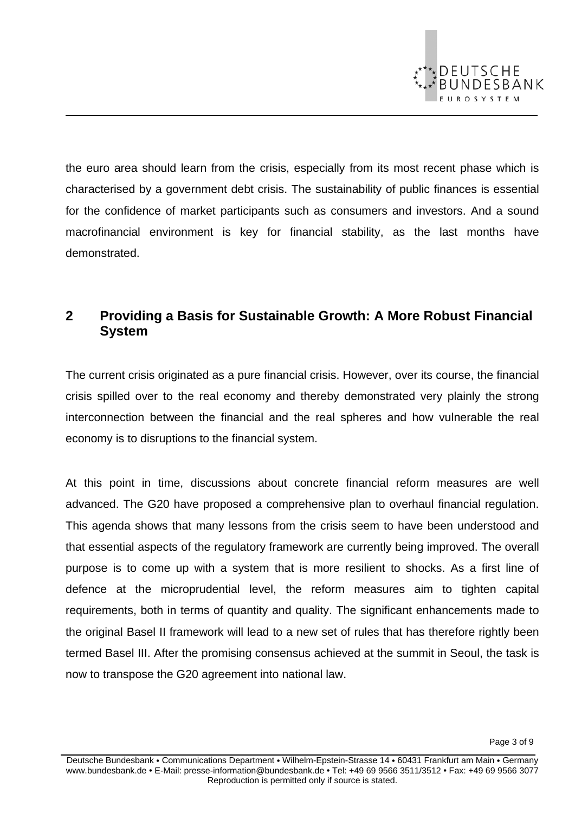

the euro area should learn from the crisis, especially from its most recent phase which is characterised by a government debt crisis. The sustainability of public finances is essential for the confidence of market participants such as consumers and investors. And a sound macrofinancial environment is key for financial stability, as the last months have demonstrated.

### **2 Providing a Basis for Sustainable Growth: A More Robust Financial System**

The current crisis originated as a pure financial crisis. However, over its course, the financial crisis spilled over to the real economy and thereby demonstrated very plainly the strong interconnection between the financial and the real spheres and how vulnerable the real economy is to disruptions to the financial system.

At this point in time, discussions about concrete financial reform measures are well advanced. The G20 have proposed a comprehensive plan to overhaul financial regulation. This agenda shows that many lessons from the crisis seem to have been understood and that essential aspects of the regulatory framework are currently being improved. The overall purpose is to come up with a system that is more resilient to shocks. As a first line of defence at the microprudential level, the reform measures aim to tighten capital requirements, both in terms of quantity and quality. The significant enhancements made to the original Basel II framework will lead to a new set of rules that has therefore rightly been termed Basel III. After the promising consensus achieved at the summit in Seoul, the task is now to transpose the G20 agreement into national law.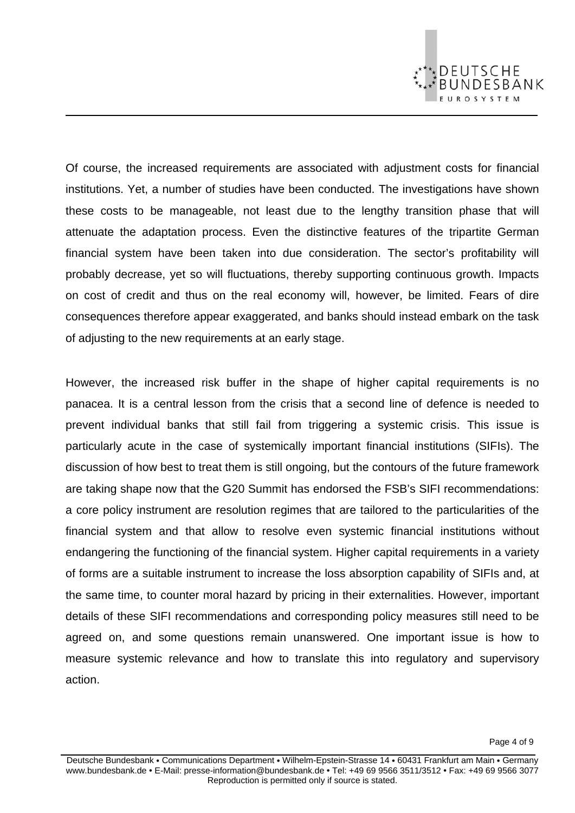

on cost of credit and thus on the real economy will, however, be limited. Fears of dire consequences therefore appear exaggerated, and banks should instead embark on the task of adjusting to the new requirements at an early stage.

However, the increased risk buffer in the shape of higher capital requirements is no panacea. It is a central lesson from the crisis that a second line of defence is needed to prevent individual banks that still fail from triggering a systemic crisis. This issue is particularly acute in the case of systemically important financial institutions (SIFIs). The discussion of how best to treat them is still ongoing, but the contours of the future framework are taking shape now that the G20 Summit has endorsed the FSB's SIFI recommendations: a core policy instrument are resolution regimes that are tailored to the particularities of the financial system and that allow to resolve even systemic financial institutions without endangering the functioning of the financial system. Higher capital requirements in a variety of forms are a suitable instrument to increase the loss absorption capability of SIFIs and, at the same time, to counter moral hazard by pricing in their externalities. However, important details of these SIFI recommendations and corresponding policy measures still need to be agreed on, and some questions remain unanswered. One important issue is how to measure systemic relevance and how to translate this into regulatory and supervisory action.

DEUTSCHE<br>BUNDESBANK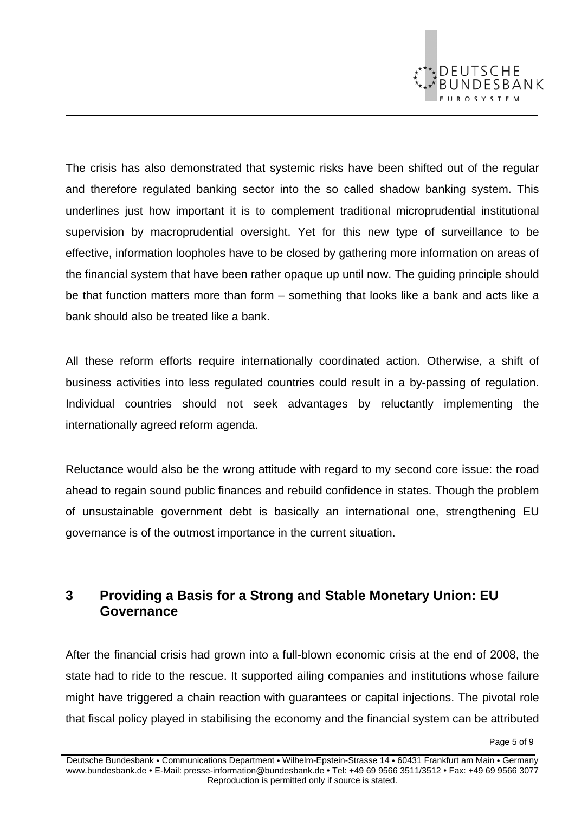

The crisis has also demonstrated that systemic risks have been shifted out of the regular and therefore regulated banking sector into the so called shadow banking system. This underlines just how important it is to complement traditional microprudential institutional supervision by macroprudential oversight. Yet for this new type of surveillance to be effective, information loopholes have to be closed by gathering more information on areas of the financial system that have been rather opaque up until now. The guiding principle should be that function matters more than form – something that looks like a bank and acts like a bank should also be treated like a bank.

All these reform efforts require internationally coordinated action. Otherwise, a shift of business activities into less regulated countries could result in a by-passing of regulation. Individual countries should not seek advantages by reluctantly implementing the internationally agreed reform agenda.

Reluctance would also be the wrong attitude with regard to my second core issue: the road ahead to regain sound public finances and rebuild confidence in states. Though the problem of unsustainable government debt is basically an international one, strengthening EU governance is of the outmost importance in the current situation.

## **3 Providing a Basis for a Strong and Stable Monetary Union: EU Governance**

After the financial crisis had grown into a full-blown economic crisis at the end of 2008, the state had to ride to the rescue. It supported ailing companies and institutions whose failure might have triggered a chain reaction with guarantees or capital injections. The pivotal role that fiscal policy played in stabilising the economy and the financial system can be attributed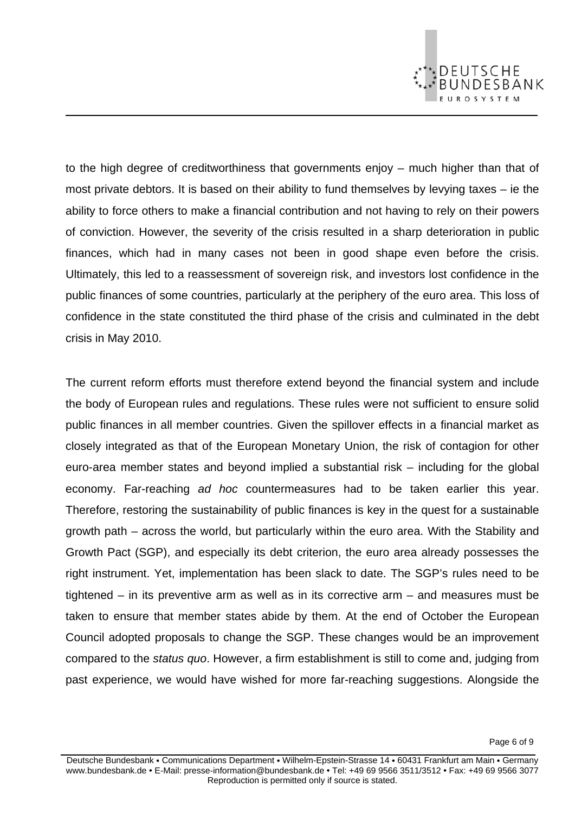

to the high degree of creditworthiness that governments enjoy – much higher than that of most private debtors. It is based on their ability to fund themselves by levying taxes – ie the ability to force others to make a financial contribution and not having to rely on their powers of conviction. However, the severity of the crisis resulted in a sharp deterioration in public finances, which had in many cases not been in good shape even before the crisis. Ultimately, this led to a reassessment of sovereign risk, and investors lost confidence in the public finances of some countries, particularly at the periphery of the euro area. This loss of confidence in the state constituted the third phase of the crisis and culminated in the debt crisis in May 2010.

The current reform efforts must therefore extend beyond the financial system and include the body of European rules and regulations. These rules were not sufficient to ensure solid public finances in all member countries. Given the spillover effects in a financial market as closely integrated as that of the European Monetary Union, the risk of contagion for other euro-area member states and beyond implied a substantial risk – including for the global economy. Far-reaching *ad hoc* countermeasures had to be taken earlier this year. Therefore, restoring the sustainability of public finances is key in the quest for a sustainable growth path – across the world, but particularly within the euro area. With the Stability and Growth Pact (SGP), and especially its debt criterion, the euro area already possesses the right instrument. Yet, implementation has been slack to date. The SGP's rules need to be tightened – in its preventive arm as well as in its corrective arm – and measures must be taken to ensure that member states abide by them. At the end of October the European Council adopted proposals to change the SGP. These changes would be an improvement compared to the *status quo*. However, a firm establishment is still to come and, judging from past experience, we would have wished for more far-reaching suggestions. Alongside the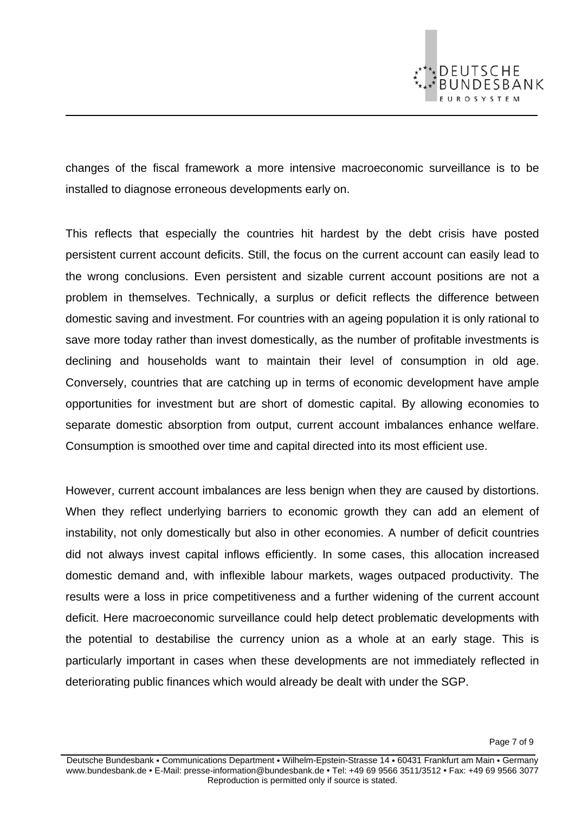

changes of the fiscal framework a more intensive macroeconomic surveillance is to be installed to diagnose erroneous developments early on.

This reflects that especially the countries hit hardest by the debt crisis have posted persistent current account deficits. Still, the focus on the current account can easily lead to the wrong conclusions. Even persistent and sizable current account positions are not a problem in themselves. Technically, a surplus or deficit reflects the difference between domestic saving and investment. For countries with an ageing population it is only rational to save more today rather than invest domestically, as the number of profitable investments is declining and households want to maintain their level of consumption in old age. Conversely, countries that are catching up in terms of economic development have ample opportunities for investment but are short of domestic capital. By allowing economies to separate domestic absorption from output, current account imbalances enhance welfare. Consumption is smoothed over time and capital directed into its most efficient use.

However, current account imbalances are less benign when they are caused by distortions. When they reflect underlying barriers to economic growth they can add an element of instability, not only domestically but also in other economies. A number of deficit countries did not always invest capital inflows efficiently. In some cases, this allocation increased domestic demand and, with inflexible labour markets, wages outpaced productivity. The results were a loss in price competitiveness and a further widening of the current account deficit. Here macroeconomic surveillance could help detect problematic developments with the potential to destabilise the currency union as a whole at an early stage. This is particularly important in cases when these developments are not immediately reflected in deteriorating public finances which would already be dealt with under the SGP.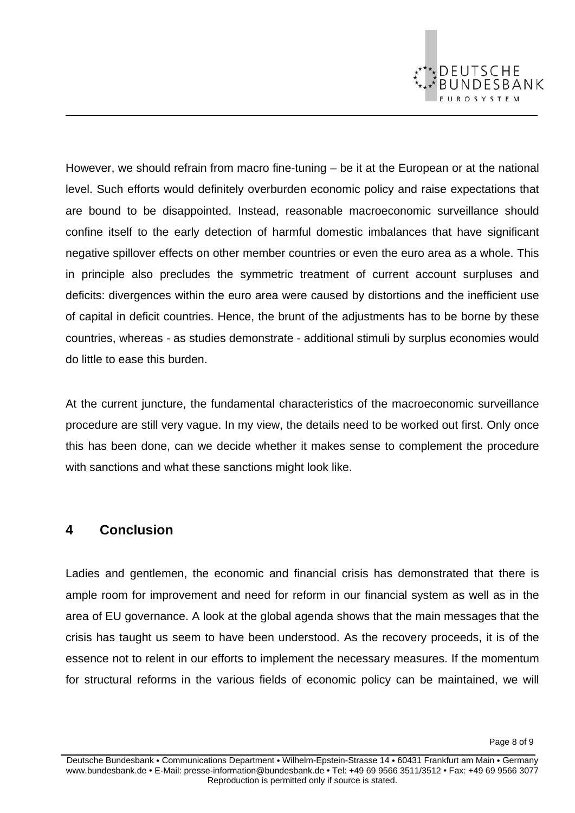

However, we should refrain from macro fine-tuning – be it at the European or at the national level. Such efforts would definitely overburden economic policy and raise expectations that are bound to be disappointed. Instead, reasonable macroeconomic surveillance should confine itself to the early detection of harmful domestic imbalances that have significant negative spillover effects on other member countries or even the euro area as a whole. This in principle also precludes the symmetric treatment of current account surpluses and deficits: divergences within the euro area were caused by distortions and the inefficient use of capital in deficit countries. Hence, the brunt of the adjustments has to be borne by these countries, whereas - as studies demonstrate - additional stimuli by surplus economies would do little to ease this burden.

At the current juncture, the fundamental characteristics of the macroeconomic surveillance procedure are still very vague. In my view, the details need to be worked out first. Only once this has been done, can we decide whether it makes sense to complement the procedure with sanctions and what these sanctions might look like.

#### **4 Conclusion**

Ladies and gentlemen, the economic and financial crisis has demonstrated that there is ample room for improvement and need for reform in our financial system as well as in the area of EU governance. A look at the global agenda shows that the main messages that the crisis has taught us seem to have been understood. As the recovery proceeds, it is of the essence not to relent in our efforts to implement the necessary measures. If the momentum for structural reforms in the various fields of economic policy can be maintained, we will